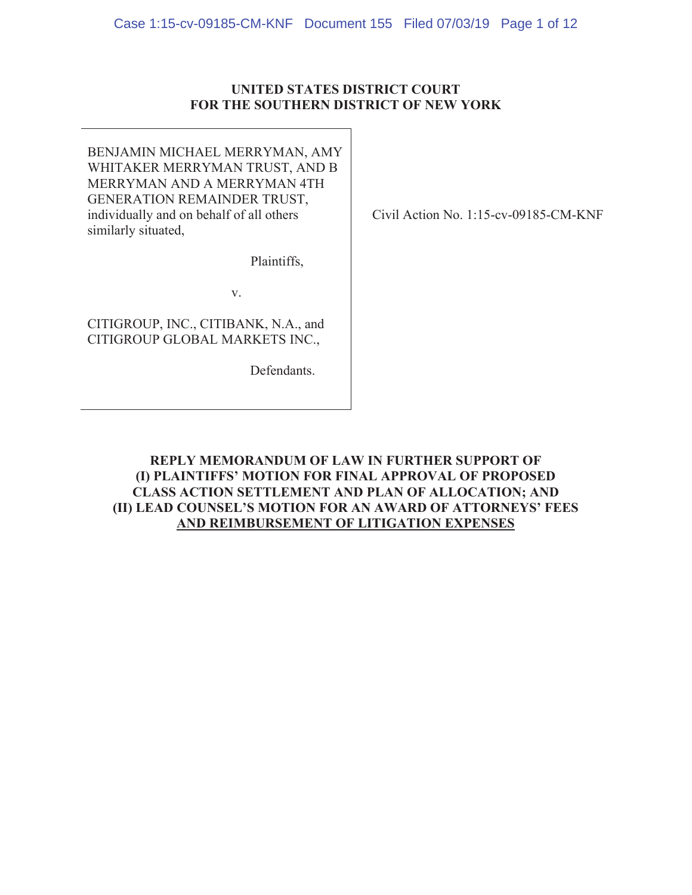#### **UNITED STATES DISTRICT COURT FOR THE SOUTHERN DISTRICT OF NEW YORK**

BENJAMIN MICHAEL MERRYMAN, AMY WHITAKER MERRYMAN TRUST, AND B MERRYMAN AND A MERRYMAN 4TH GENERATION REMAINDER TRUST, individually and on behalf of all others similarly situated,

Plaintiffs,

Y

CITIGROUP, INC., CITIBANK, N.A., and CITIGROUP GLOBAL MARKETS INC.,

Defendants.

Civil Action No. 1:15-cv-09185-CM-KNF

**REPLY MEMORANDUM OF LAW IN FURTHER SUPPORT OF** (I) PLAINTIFFS' MOTION FOR FINAL APPROVAL OF PROPOSED CLASS ACTION SETTLEMENT AND PLAN OF ALLOCATION; AND (II) LEAD COUNSEL'S MOTION FOR AN AWARD OF ATTORNEYS' FEES **AND REIMBURSEMENT OF LITIGATION EXPENSES**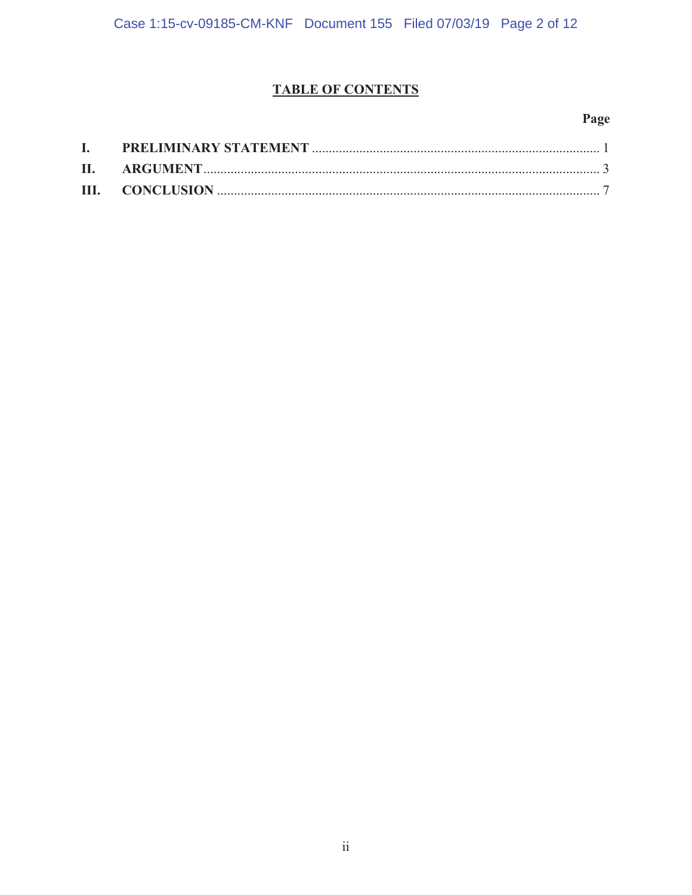#### **TABLE OF CONTENTS**

#### Page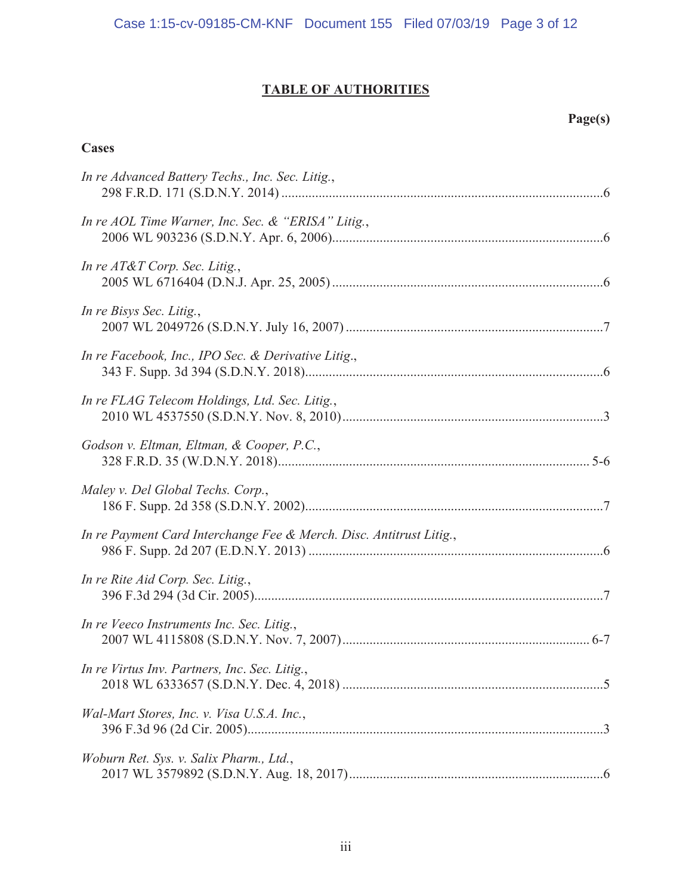## **TABLE OF AUTHORITIES**

#### $Page(s)$

#### **Cases**

| In re Advanced Battery Techs., Inc. Sec. Litig.,                    |
|---------------------------------------------------------------------|
| In re AOL Time Warner, Inc. Sec. & "ERISA" Litig.,                  |
| In re $AT&T$ Corp. Sec. Litig.,                                     |
| In re Bisys Sec. Litig.,                                            |
| In re Facebook, Inc., IPO Sec. & Derivative Litig.,                 |
| In re FLAG Telecom Holdings, Ltd. Sec. Litig.,                      |
| Godson v. Eltman, Eltman, & Cooper, P.C.,                           |
| Maley v. Del Global Techs. Corp.,                                   |
| In re Payment Card Interchange Fee & Merch. Disc. Antitrust Litig., |
| In re Rite Aid Corp. Sec. Litig.,                                   |
| In re Veeco Instruments Inc. Sec. Litig.,                           |
| In re Virtus Inv. Partners, Inc. Sec. Litig.,                       |
| Wal-Mart Stores, Inc. v. Visa U.S.A. Inc.,                          |
| Woburn Ret. Sys. v. Salix Pharm., Ltd.,                             |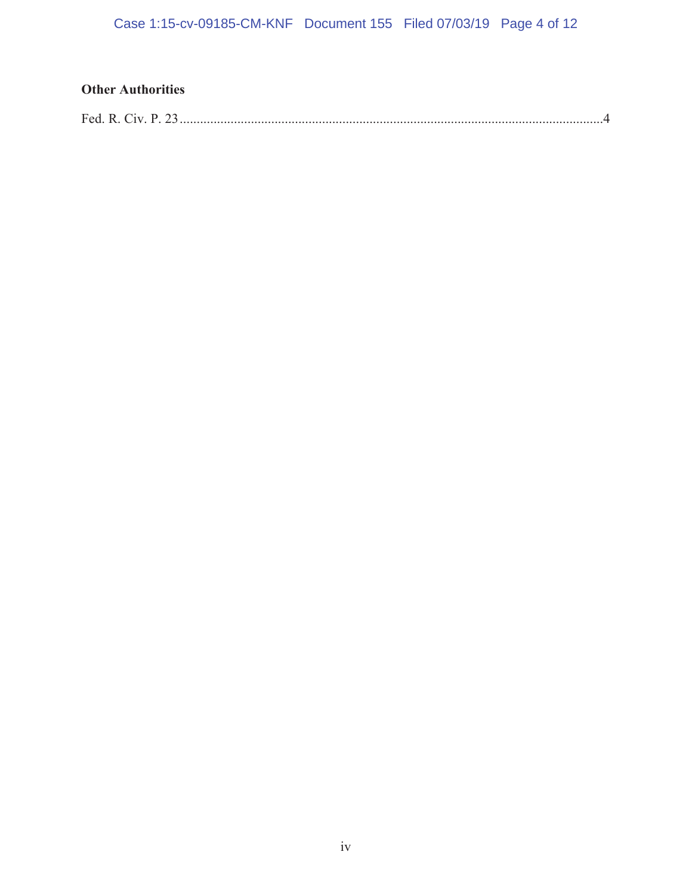### **2WhereFullment**

|--|--|--|--|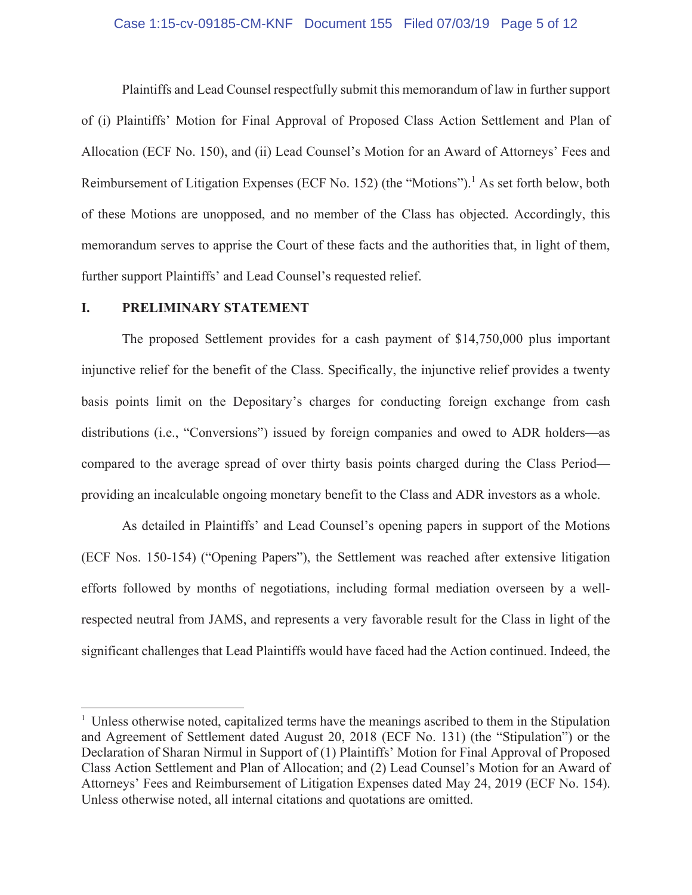#### Case 1:15-cv-09185-CM-KNF Document 155 Filed 07/03/19 Page 5 of 12

Plaintiffs and Lead Counsel respectfully submit this memorandum of law in further support of (i) Plaintiffs' Motion for Final Approval of Proposed Class Action Settlement and Plan of Allocation (ECF No. 150), and (ii) Lead Counsel's Motion for an Award of Attorneys' Fees and Reimbursement of Litigation Expenses (ECF No. 152) (the "Motions").<sup>1</sup> As set forth below, both of these Motions are unopposed, and no member of the Class has objected. Accordingly, this memorandum serves to apprise the Court of these facts and the authorities that, in light of them, further support Plaintiffs' and Lead Counsel's requested relief.

#### L. PRELIMINARY STATEMENT

The proposed Settlement provides for a cash payment of \$14,750,000 plus important injunctive relief for the benefit of the Class. Specifically, the injunctive relief provides a twenty basis points limit on the Depositary's charges for conducting foreign exchange from cash distributions (i.e., "Conversions") issued by foreign companies and owed to ADR holders—as compared to the average spread of over thirty basis points charged during the Class Period providing an incalculable ongoing monetary benefit to the Class and ADR investors as a whole.

As detailed in Plaintiffs' and Lead Counsel's opening papers in support of the Motions (ECF Nos. 150-154) ("Opening Papers"), the Settlement was reached after extensive litigation efforts followed by months of negotiations, including formal mediation overseen by a wellrespected neutral from JAMS, and represents a very favorable result for the Class in light of the significant challenges that Lead Plaintiffs would have faced had the Action continued. Indeed, the

<sup>&</sup>lt;sup>1</sup> Unless otherwise noted, capitalized terms have the meanings ascribed to them in the Stipulation and Agreement of Settlement dated August 20, 2018 (ECF No. 131) (the "Stipulation") or the Declaration of Sharan Nirmul in Support of (1) Plaintiffs' Motion for Final Approval of Proposed Class Action Settlement and Plan of Allocation; and (2) Lead Counsel's Motion for an Award of Attorneys' Fees and Reimbursement of Litigation Expenses dated May 24, 2019 (ECF No. 154). Unless otherwise noted, all internal citations and quotations are omitted.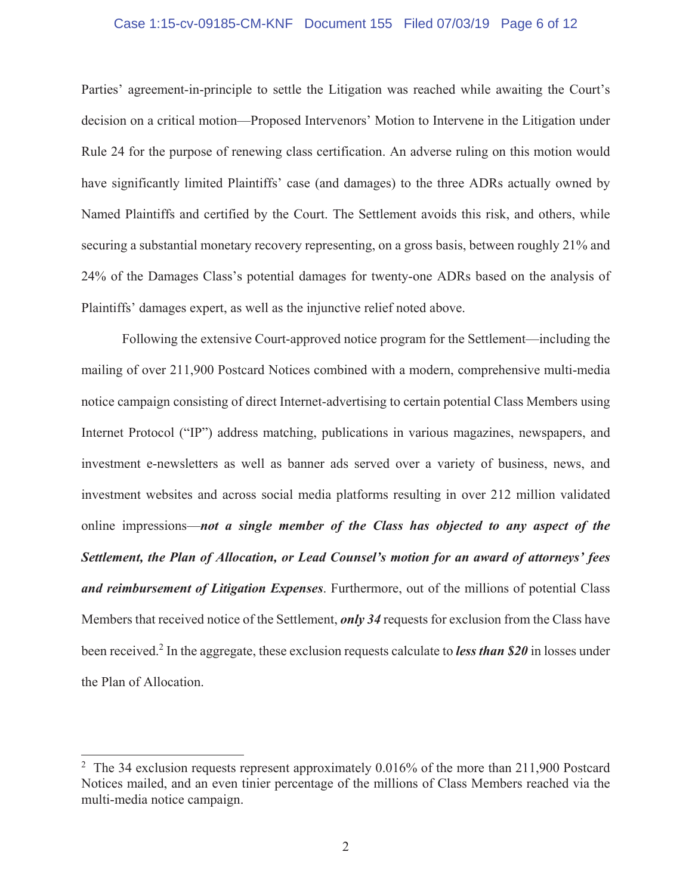#### Case 1:15-cv-09185-CM-KNF Document 155 Filed 07/03/19 Page 6 of 12

Parties' agreement-in-principle to settle the Litigation was reached while awaiting the Court's decision on a critical motion—Proposed Intervenors' Motion to Intervene in the Litigation under Rule 24 for the purpose of renewing class certification. An adverse ruling on this motion would have significantly limited Plaintiffs' case (and damages) to the three ADRs actually owned by Named Plaintiffs and certified by the Court. The Settlement avoids this risk, and others, while securing a substantial monetary recovery representing, on a gross basis, between roughly 21% and 24% of the Damages Class's potential damages for twenty-one ADRs based on the analysis of Plaintiffs' damages expert, as well as the injunctive relief noted above.

Following the extensive Court-approved notice program for the Settlement—including the mailing of over 211,900 Postcard Notices combined with a modern, comprehensive multi-media notice campaign consisting of direct Internet-advertising to certain potential Class Members using Internet Protocol ("IP") address matching, publications in various magazines, newspapers, and investment e-newsletters as well as banner ads served over a variety of business, news, and investment websites and across social media platforms resulting in over 212 million validated online impressions—not a single member of the Class has objected to any aspect of the Settlement, the Plan of Allocation, or Lead Counsel's motion for an award of attorneys' fees and reimbursement of Litigation Expenses. Furthermore, out of the millions of potential Class Members that received notice of the Settlement, *only* 34 requests for exclusion from the Class have been received.<sup>2</sup> In the aggregate, these exclusion requests calculate to *less than* \$20 in losses under the Plan of Allocation.

<sup>&</sup>lt;sup>2</sup> The 34 exclusion requests represent approximately 0.016% of the more than 211,900 Postcard Notices mailed, and an even tinier percentage of the millions of Class Members reached via the multi-media notice campaign.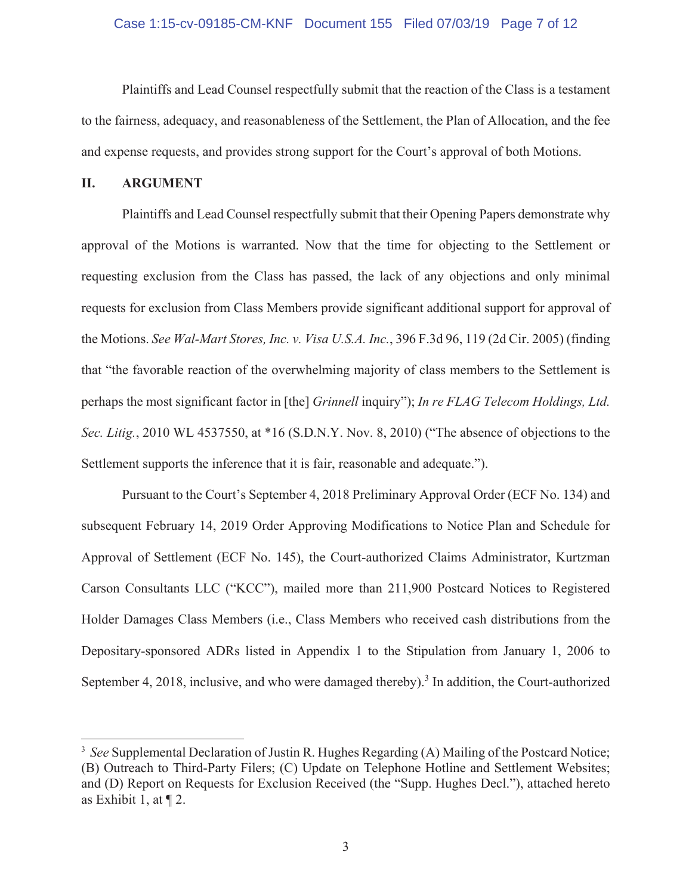#### Case 1:15-cv-09185-CM-KNF Document 155 Filed 07/03/19 Page 7 of 12

Plaintiffs and Lead Counsel respectfully submit that the reaction of the Class is a testament to the fairness, adequacy, and reasonableness of the Settlement, the Plan of Allocation, and the fee and expense requests, and provides strong support for the Court's approval of both Motions.

#### II. **ARGUMENT**

Plaintiffs and Lead Counsel respectfully submit that their Opening Papers demonstrate why approval of the Motions is warranted. Now that the time for objecting to the Settlement or requesting exclusion from the Class has passed, the lack of any objections and only minimal requests for exclusion from Class Members provide significant additional support for approval of the Motions. See Wal-Mart Stores, Inc. v. Visa U.S.A. Inc., 396 F.3d 96, 119 (2d Cir. 2005) (finding that "the favorable reaction of the overwhelming majority of class members to the Settlement is perhaps the most significant factor in [the] *Grinnell* inquiry"); In re FLAG Telecom Holdings, Ltd. Sec. Litig., 2010 WL 4537550, at \*16 (S.D.N.Y. Nov. 8, 2010) ("The absence of objections to the Settlement supports the inference that it is fair, reasonable and adequate.").

Pursuant to the Court's September 4, 2018 Preliminary Approval Order (ECF No. 134) and subsequent February 14, 2019 Order Approving Modifications to Notice Plan and Schedule for Approval of Settlement (ECF No. 145), the Court-authorized Claims Administrator, Kurtzman Carson Consultants LLC ("KCC"), mailed more than 211,900 Postcard Notices to Registered Holder Damages Class Members (i.e., Class Members who received cash distributions from the Depositary-sponsored ADRs listed in Appendix 1 to the Stipulation from January 1, 2006 to September 4, 2018, inclusive, and who were damaged thereby).<sup>3</sup> In addition, the Court-authorized

<sup>&</sup>lt;sup>3</sup> See Supplemental Declaration of Justin R. Hughes Regarding (A) Mailing of the Postcard Notice; (B) Outreach to Third-Party Filers; (C) Update on Telephone Hotline and Settlement Websites; and (D) Report on Requests for Exclusion Received (the "Supp. Hughes Decl."), attached hereto as Exhibit 1, at  $\P$  2.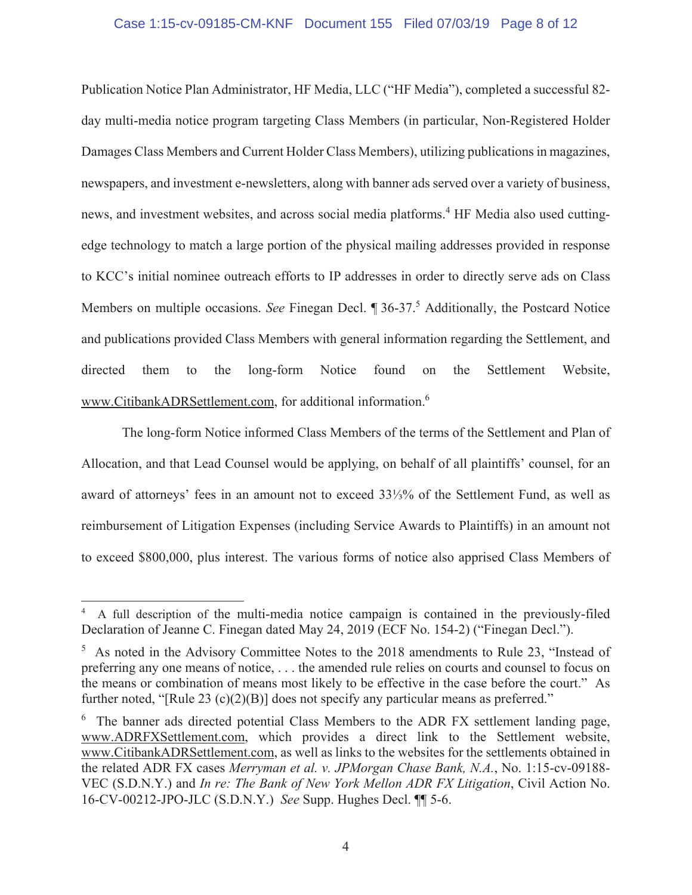#### Case 1:15-cv-09185-CM-KNF Document 155 Filed 07/03/19 Page 8 of 12

Publication Notice Plan Administrator, HF Media, LLC ("HF Media"), completed a successful 82day multi-media notice program targeting Class Members (in particular, Non-Registered Holder Damages Class Members and Current Holder Class Members), utilizing publications in magazines, newspapers, and investment e-newsletters, along with banner ads served over a variety of business, news, and investment websites, and across social media platforms.<sup>4</sup> HF Media also used cuttingedge technology to match a large portion of the physical mailing addresses provided in response to KCC's initial nominee outreach efforts to IP addresses in order to directly serve ads on Class Members on multiple occasions. See Finegan Decl. ¶ 36-37.<sup>5</sup> Additionally, the Postcard Notice and publications provided Class Members with general information regarding the Settlement, and directed the long-form Notice found the Settlement Website. them to on www.CitibankADRSettlement.com, for additional information.<sup>6</sup>

The long-form Notice informed Class Members of the terms of the Settlement and Plan of Allocation, and that Lead Counsel would be applying, on behalf of all plaintiffs' counsel, for an award of attorneys' fees in an amount not to exceed 33½% of the Settlement Fund, as well as reimbursement of Litigation Expenses (including Service Awards to Plaintiffs) in an amount not to exceed \$800,000, plus interest. The various forms of notice also apprised Class Members of

A full description of the multi-media notice campaign is contained in the previously-filed Declaration of Jeanne C. Finegan dated May 24, 2019 (ECF No. 154-2) ("Finegan Decl.").

<sup>&</sup>lt;sup>5</sup> As noted in the Advisory Committee Notes to the 2018 amendments to Rule 23, "Instead of preferring any one means of notice, ... the amended rule relies on courts and counsel to focus on the means or combination of means most likely to be effective in the case before the court." As further noted, "[Rule 23  $(c)(2)(B)$ ] does not specify any particular means as preferred."

<sup>&</sup>lt;sup>6</sup> The banner ads directed potential Class Members to the ADR FX settlement landing page, www.ADRFXSettlement.com, which provides a direct link to the Settlement website, www.CitibankADRSettlement.com, as well as links to the websites for the settlements obtained in the related ADR FX cases Merryman et al. v. JPMorgan Chase Bank, N.A., No. 1:15-cv-09188-VEC (S.D.N.Y.) and *In re: The Bank of New York Mellon ADR FX Litigation*, Civil Action No. 16-CV-00212-JPO-JLC (S.D.N.Y.) See Supp. Hughes Decl. II 5-6.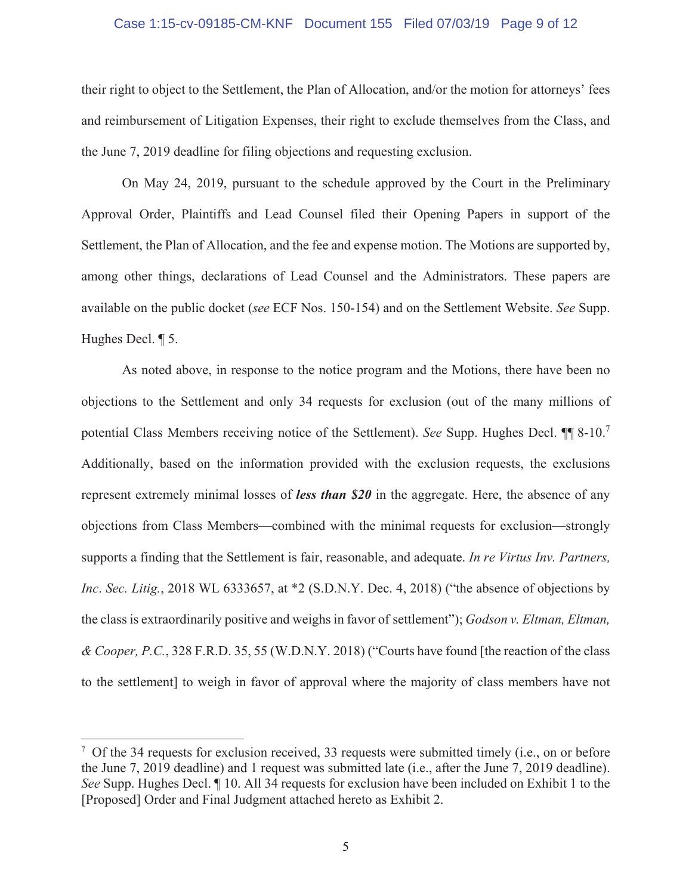#### Case 1:15-cv-09185-CM-KNF Document 155 Filed 07/03/19 Page 9 of 12

their right to object to the Settlement, the Plan of Allocation, and/or the motion for attorneys' fees and reimbursement of Litigation Expenses, their right to exclude themselves from the Class, and the June 7, 2019 deadline for filing objections and requesting exclusion.

On May 24, 2019, pursuant to the schedule approved by the Court in the Preliminary Approval Order, Plaintiffs and Lead Counsel filed their Opening Papers in support of the Settlement, the Plan of Allocation, and the fee and expense motion. The Motions are supported by, among other things, declarations of Lead Counsel and the Administrators. These papers are available on the public docket (see ECF Nos. 150-154) and on the Settlement Website. See Supp. Hughes Decl. 15.

As noted above, in response to the notice program and the Motions, there have been no objections to the Settlement and only 34 requests for exclusion (out of the many millions of potential Class Members receiving notice of the Settlement). See Supp. Hughes Decl. II 8-10.<sup>7</sup> Additionally, based on the information provided with the exclusion requests, the exclusions represent extremely minimal losses of less than  $$20$  in the aggregate. Here, the absence of any objections from Class Members—combined with the minimal requests for exclusion—strongly supports a finding that the Settlement is fair, reasonable, and adequate. In re Virtus Inv. Partners, Inc. Sec. Litig., 2018 WL 6333657, at \*2 (S.D.N.Y. Dec. 4, 2018) ("the absence of objections by the class is extraordinarily positive and weighs in favor of settlement"); Godson v. Eltman, Eltman, & Cooper, P.C., 328 F.R.D. 35, 55 (W.D.N.Y. 2018) ("Courts have found [the reaction of the class to the settlement] to weigh in favor of approval where the majority of class members have not

 $\frac{7}{7}$  Of the 34 requests for exclusion received, 33 requests were submitted timely (i.e., on or before the June 7, 2019 deadline) and 1 request was submitted late (i.e., after the June 7, 2019 deadline). See Supp. Hughes Decl. 1 10. All 34 requests for exclusion have been included on Exhibit 1 to the [Proposed] Order and Final Judgment attached hereto as Exhibit 2.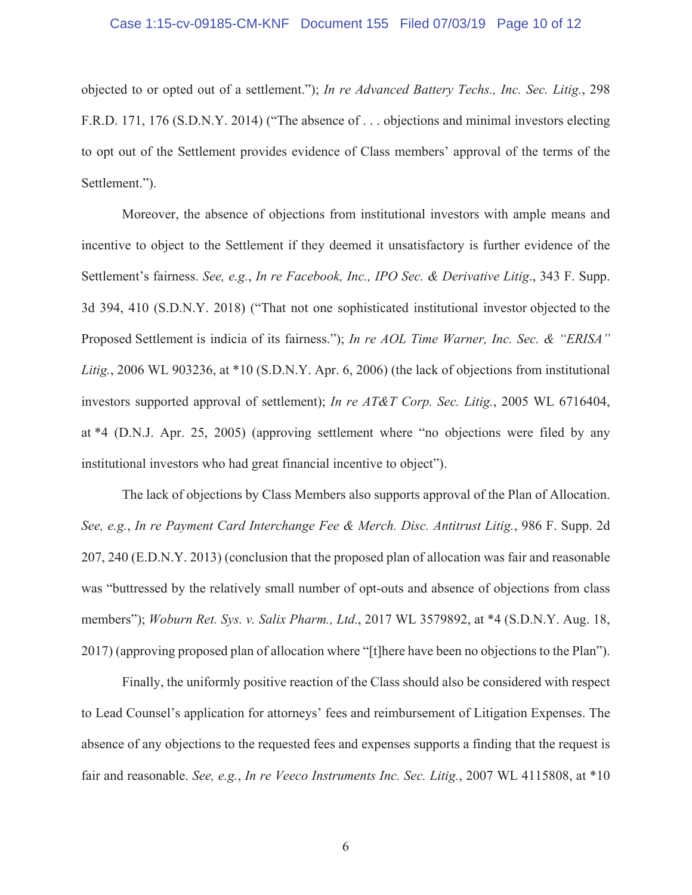#### Case 1:15-cv-09185-CM-KNF Document 155 Filed 07/03/19 Page 10 of 12

objected to or opted out of a settlement."); In re Advanced Battery Techs., Inc. Sec. Litig., 298 F.R.D. 171, 176 (S.D.N.Y. 2014) ("The absence of ... objections and minimal investors electing to opt out of the Settlement provides evidence of Class members' approval of the terms of the Settlement.").

Moreover, the absence of objections from institutional investors with ample means and incentive to object to the Settlement if they deemed it unsatisfactory is further evidence of the Settlement's fairness. See, e.g., In re Facebook, Inc., IPO Sec. & Derivative Litig., 343 F. Supp. 3d 394, 410 (S.D.N.Y. 2018) ("That not one sophisticated institutional investor objected to the Proposed Settlement is indicia of its fairness."); In re AOL Time Warner, Inc. Sec. & "ERISA" Litig., 2006 WL 903236, at \*10 (S.D.N.Y. Apr. 6, 2006) (the lack of objections from institutional investors supported approval of settlement); In re AT&T Corp. Sec. Litig., 2005 WL 6716404, at \*4 (D.N.J. Apr. 25, 2005) (approving settlement where "no objections were filed by any institutional investors who had great financial incentive to object").

The lack of objections by Class Members also supports approval of the Plan of Allocation. See, e.g., In re Payment Card Interchange Fee & Merch. Disc. Antitrust Litig., 986 F. Supp. 2d 207, 240 (E.D.N.Y. 2013) (conclusion that the proposed plan of allocation was fair and reasonable was "buttressed by the relatively small number of opt-outs and absence of objections from class members"); Woburn Ret. Sys. v. Salix Pharm., Ltd., 2017 WL 3579892, at \*4 (S.D.N.Y. Aug. 18, 2017) (approving proposed plan of allocation where "[t] here have been no objections to the Plan").

Finally, the uniformly positive reaction of the Class should also be considered with respect to Lead Counsel's application for attorneys' fees and reimbursement of Litigation Expenses. The absence of any objections to the requested fees and expenses supports a finding that the request is fair and reasonable. See, e.g., In re Veeco Instruments Inc. Sec. Litig., 2007 WL 4115808, at \*10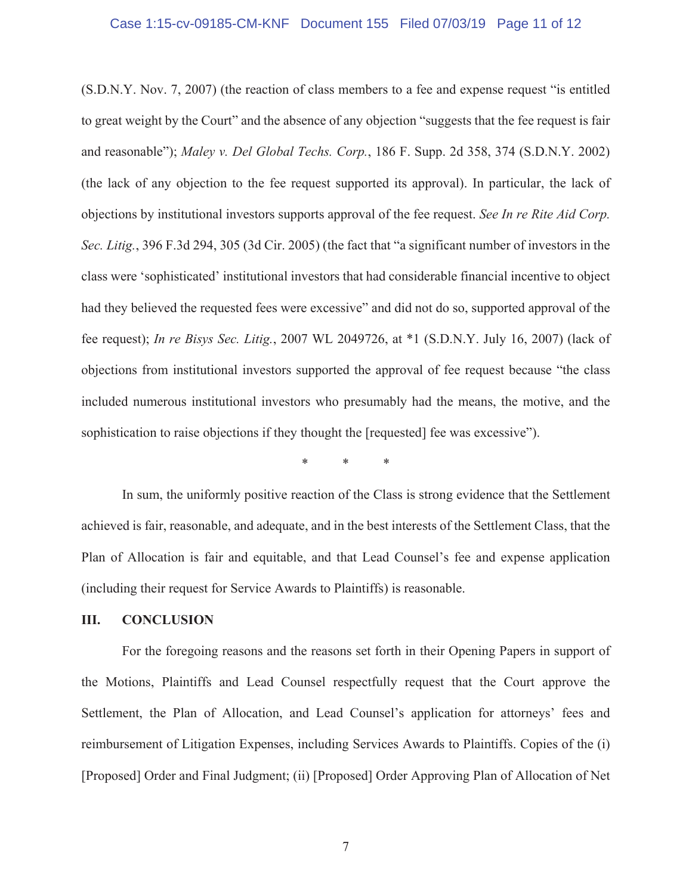#### Case 1:15-cv-09185-CM-KNF Document 155 Filed 07/03/19 Page 11 of 12

(S.D.N.Y. Nov. 7, 2007) (the reaction of class members to a fee and expense request "is entitled to great weight by the Court" and the absence of any objection "suggests that the fee request is fair and reasonable"); Maley v. Del Global Techs. Corp., 186 F. Supp. 2d 358, 374 (S.D.N.Y. 2002) (the lack of any objection to the fee request supported its approval). In particular, the lack of objections by institutional investors supports approval of the fee request. See In re Rite Aid Corp. Sec. Litig., 396 F.3d 294, 305 (3d Cir. 2005) (the fact that "a significant number of investors in the class were 'sophisticated' institutional investors that had considerable financial incentive to object had they believed the requested fees were excessive" and did not do so, supported approval of the fee request); *In re Bisys Sec. Litig.*, 2007 WL 2049726, at \*1 (S.D.N.Y. July 16, 2007) (lack of objections from institutional investors supported the approval of fee request because "the class" included numerous institutional investors who presumably had the means, the motive, and the sophistication to raise objections if they thought the [requested] fee was excessive").

In sum, the uniformly positive reaction of the Class is strong evidence that the Settlement achieved is fair, reasonable, and adequate, and in the best interests of the Settlement Class, that the Plan of Allocation is fair and equitable, and that Lead Counsel's fee and expense application (including their request for Service Awards to Plaintiffs) is reasonable.

#### Ш. **CONCLUSION**

For the foregoing reasons and the reasons set forth in their Opening Papers in support of the Motions, Plaintiffs and Lead Counsel respectfully request that the Court approve the Settlement, the Plan of Allocation, and Lead Counsel's application for attorneys' fees and reimbursement of Litigation Expenses, including Services Awards to Plaintiffs. Copies of the (i) [Proposed] Order and Final Judgment; (ii) [Proposed] Order Approving Plan of Allocation of Net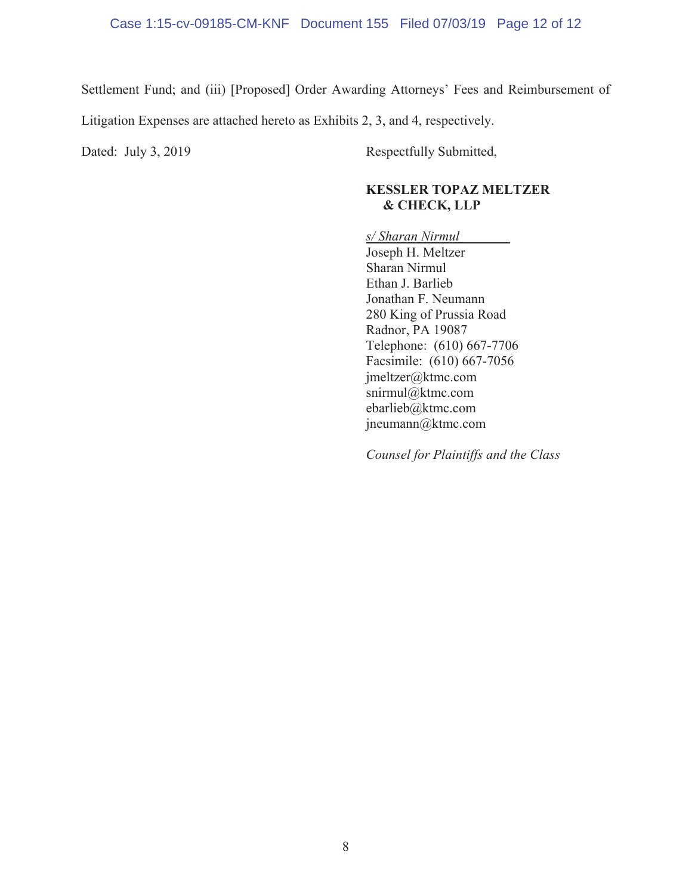Settlement Fund; and (iii) [Proposed] Order Awarding Attorneys' Fees and Reimbursement of

Litigation Expenses are attached hereto as Exhibits 2, 3, and 4, respectively.

Dated: July 3, 2019 Respectfully Submitted,

#### **KESSLER TOPAZ MELTZER**  $&$  CHECK, LLP

*s/ Sharan Nirmul*  Joseph H. Meltzer Sharan Nirmul Ethan J. Barlieb Jonathan F. Neumann 280 King of Prussia Road Radnor, PA 19087 Telephone: (610) 667-7706 Facsimile: (610) 667-7056  $j$ meltzer@ktmc.com snirmul@ktmc.com ebarlieb@ktmc.com  $j$ neumann $@$ ktmc.com

*Counsel for Plaintiffs and the Class*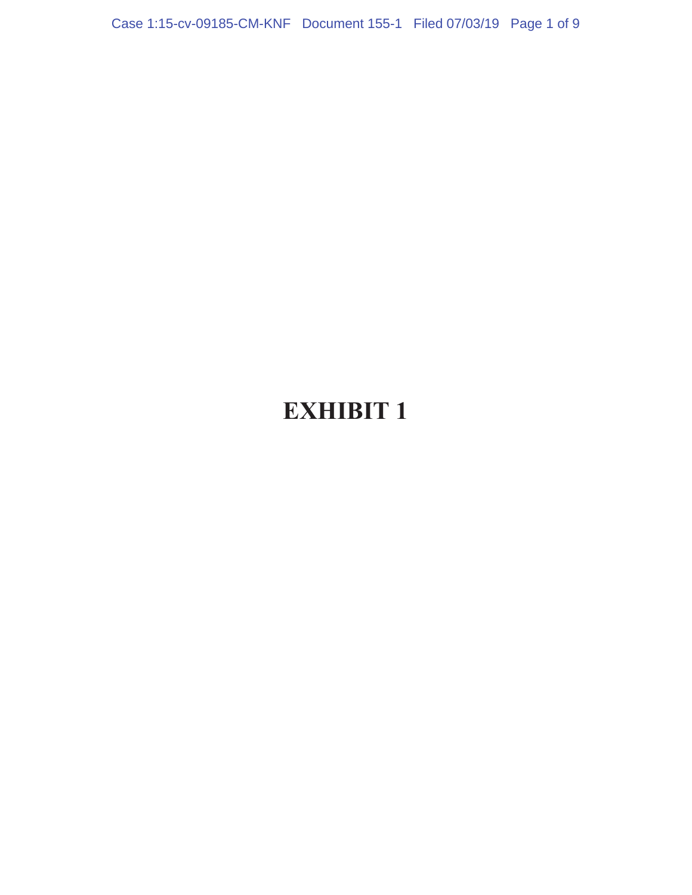Case 1:15-cv-09185-CM-KNF Document 155-1 Filed 07/03/19 Page 1 of 9

## **EXHIBIT 1**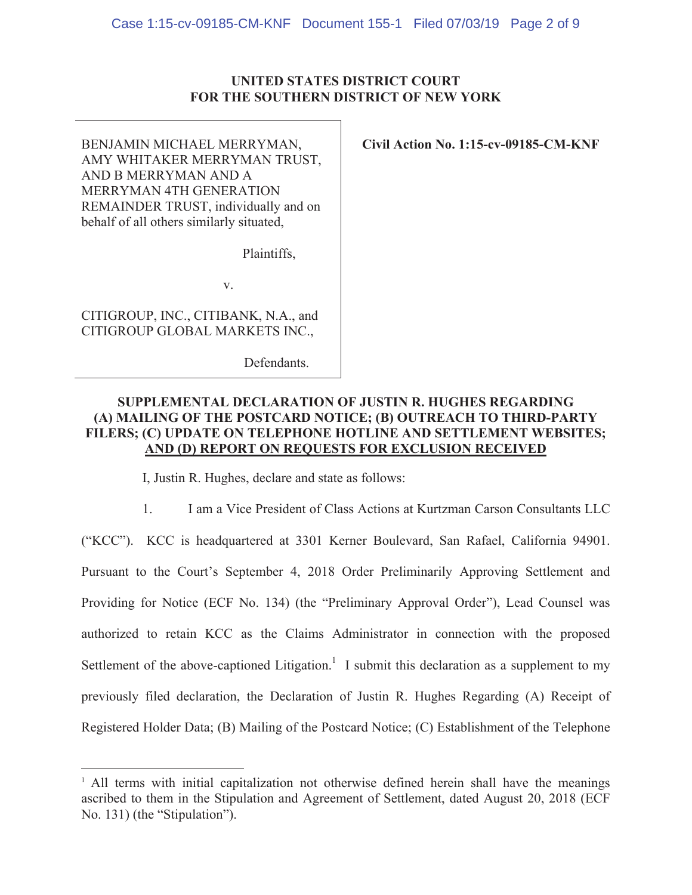#### UNITED STATES DISTRICT COURT FOR THE SOUTHERN DISTRICT OF NEW YORK

BENJAMIN MICHAEL MERRYMAN, AMY WHITAKER MERRYMAN TRUST, AND B MERRYMAN AND A MERRYMAN 4TH GENERATION REMAINDER TRUST, individually and on behalf of all others similarly situated,

Civil Action No. 1:15-cv-09185-CM-KNF

Plaintiffs.

 $V_{\star}$ 

CITIGROUP, INC., CITIBANK, N.A., and CITIGROUP GLOBAL MARKETS INC.,

Defendants.

#### **SUPPLEMENTAL DECLARATION OF JUSTIN R. HUGHES REGARDING** (A) MAILING OF THE POSTCARD NOTICE; (B) OUTREACH TO THIRD-PARTY FILERS; (C) UPDATE ON TELEPHONE HOTLINE AND SETTLEMENT WEBSITES; AND (D) REPORT ON REQUESTS FOR EXCLUSION RECEIVED

I, Justin R. Hughes, declare and state as follows:

1. I am a Vice President of Class Actions at Kurtzman Carson Consultants LLC ("KCC"). KCC is headquartered at 3301 Kerner Boulevard, San Rafael, California 94901. Pursuant to the Court's September 4, 2018 Order Preliminarily Approving Settlement and Providing for Notice (ECF No. 134) (the "Preliminary Approval Order"), Lead Counsel was authorized to retain KCC as the Claims Administrator in connection with the proposed Settlement of the above-captioned Litigation.<sup>1</sup> I submit this declaration as a supplement to my previously filed declaration, the Declaration of Justin R. Hughes Regarding (A) Receipt of Registered Holder Data; (B) Mailing of the Postcard Notice; (C) Establishment of the Telephone

<sup>&</sup>lt;sup>1</sup> All terms with initial capitalization not otherwise defined herein shall have the meanings ascribed to them in the Stipulation and Agreement of Settlement, dated August 20, 2018 (ECF No. 131) (the "Stipulation").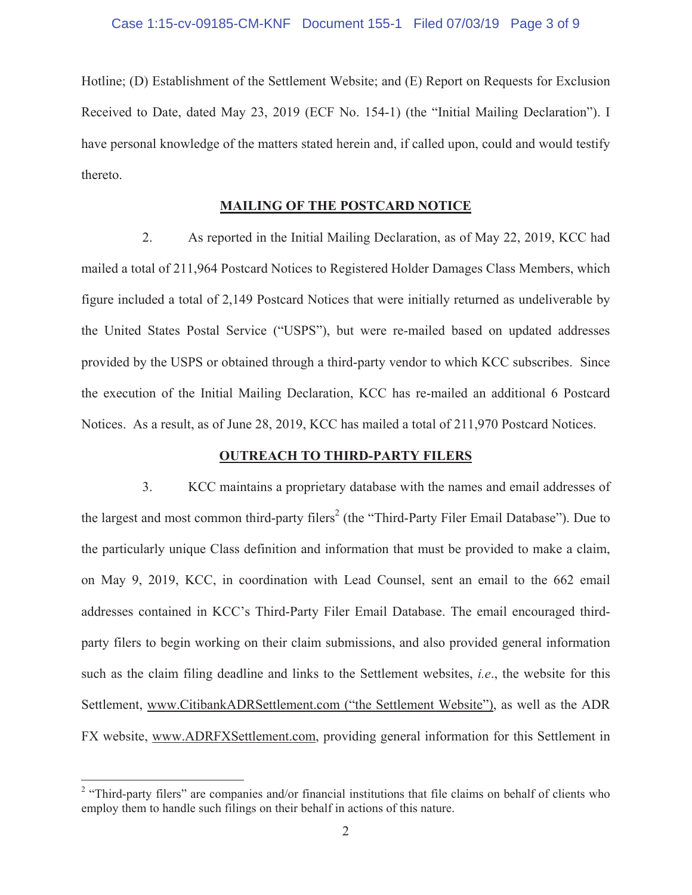Hotline; (D) Establishment of the Settlement Website; and (E) Report on Requests for Exclusion Received to Date, dated May 23, 2019 (ECF No. 154-1) (the "Initial Mailing Declaration"). I have personal knowledge of the matters stated herein and, if called upon, could and would testify thereto.

#### **MAILING OF THE POSTCARD NOTICE**

As reported in the Initial Mailing Declaration, as of May 22, 2019, KCC had  $2.$ mailed a total of 211,964 Postcard Notices to Registered Holder Damages Class Members, which figure included a total of 2,149 Postcard Notices that were initially returned as undeliverable by the United States Postal Service ("USPS"), but were re-mailed based on updated addresses provided by the USPS or obtained through a third-party vendor to which KCC subscribes. Since the execution of the Initial Mailing Declaration, KCC has re-mailed an additional 6 Postcard Notices. As a result, as of June 28, 2019, KCC has mailed a total of 211,970 Postcard Notices.

#### **OUTREACH TO THIRD-PARTY FILERS**

 $\overline{3}$ . KCC maintains a proprietary database with the names and email addresses of the largest and most common third-party filers<sup>2</sup> (the "Third-Party Filer Email Database"). Due to the particularly unique Class definition and information that must be provided to make a claim, on May 9, 2019, KCC, in coordination with Lead Counsel, sent an email to the 662 email addresses contained in KCC's Third-Party Filer Email Database. The email encouraged thirdparty filers to begin working on their claim submissions, and also provided general information such as the claim filing deadline and links to the Settlement websites, *i.e.*, the website for this Settlement, www.CitibankADRSettlement.com ("the Settlement Website"), as well as the ADR FX website, www.ADRFXSettlement.com, providing general information for this Settlement in

<sup>&</sup>lt;sup>2</sup> "Third-party filers" are companies and/or financial institutions that file claims on behalf of clients who employ them to handle such filings on their behalf in actions of this nature.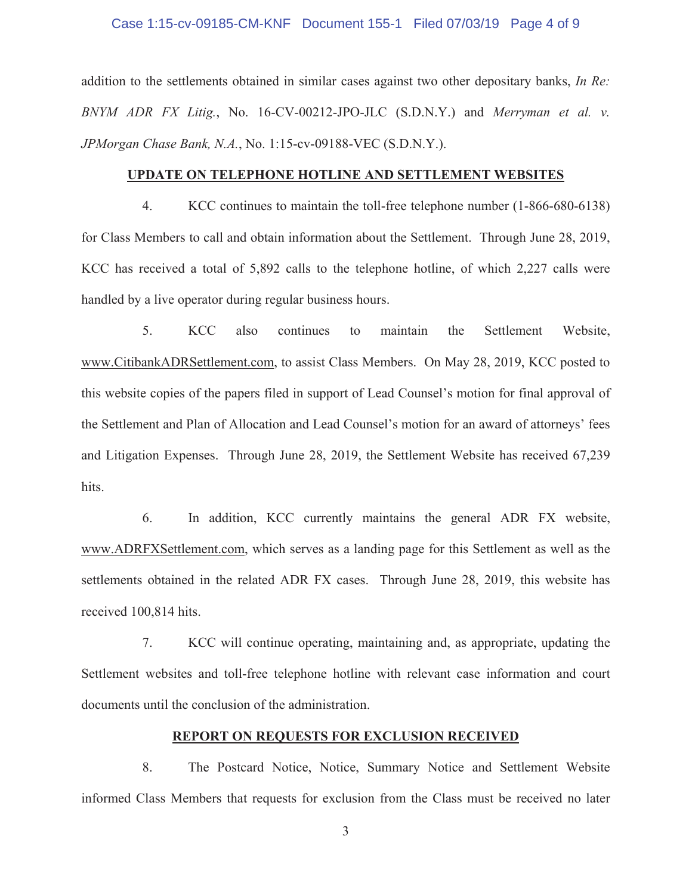#### Case 1:15-cv-09185-CM-KNF Document 155-1 Filed 07/03/19 Page 4 of 9

addition to the settlements obtained in similar cases against two other depositary banks, In Re: BNYM ADR FX Litig., No. 16-CV-00212-JPO-JLC (S.D.N.Y.) and Merryman et al. v. JPMorgan Chase Bank, N.A., No. 1:15-cv-09188-VEC (S.D.N.Y.).

#### UPDATE ON TELEPHONE HOTLINE AND SETTLEMENT WEBSITES

 $\overline{4}$ .  $KCC$  continues to maintain the toll-free telephone number  $(1-866-680-6138)$ for Class Members to call and obtain information about the Settlement. Through June 28, 2019, KCC has received a total of 5,892 calls to the telephone hotline, of which 2,227 calls were handled by a live operator during regular business hours.

5. **KCC** also continues maintain the Settlement Website. to www.CitibankADRSettlement.com, to assist Class Members. On May 28, 2019, KCC posted to this website copies of the papers filed in support of Lead Counsel's motion for final approval of the Settlement and Plan of Allocation and Lead Counsel's motion for an award of attorneys' fees and Litigation Expenses. Through June 28, 2019, the Settlement Website has received 67,239 hits.

6. In addition, KCC currently maintains the general ADR FX website, www.ADRFXSettlement.com, which serves as a landing page for this Settlement as well as the settlements obtained in the related ADR FX cases. Through June 28, 2019, this website has received 100,814 hits.

 $7<sub>1</sub>$ KCC will continue operating, maintaining and, as appropriate, updating the Settlement websites and toll-free telephone hotline with relevant case information and court documents until the conclusion of the administration.

#### **REPORT ON REQUESTS FOR EXCLUSION RECEIVED**

8. The Postcard Notice, Notice, Summary Notice and Settlement Website informed Class Members that requests for exclusion from the Class must be received no later

 $\mathfrak{Z}$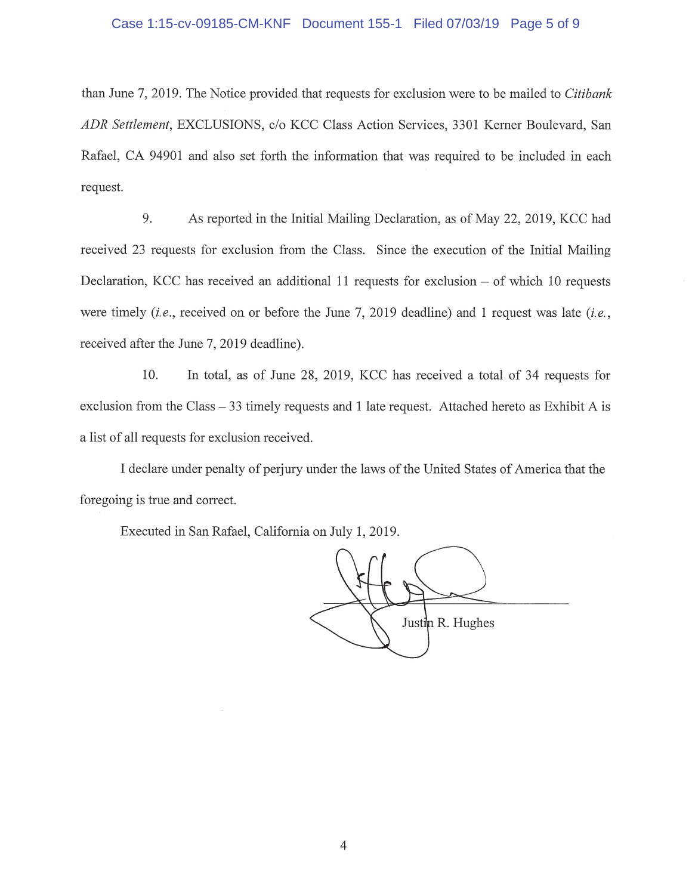#### Case 1:15-cv-09185-CM-KNF Document 155-1 Filed 07/03/19 Page 5 of 9

than June 7, 2019. The Notice provided that requests for exclusion were to be mailed to Citibank ADR Settlement, EXCLUSIONS, c/o KCC Class Action Services, 3301 Kerner Boulevard, San Rafael, CA 94901 and also set forth the information that was required to be included in each request.

9. As reported in the Initial Mailing Declaration, as of May 22, 2019, KCC had received 23 requests for exclusion from the Class. Since the execution of the Initial Mailing Declaration, KCC has received an additional 11 requests for exclusion  $-$  of which 10 requests were timely *(i.e., received on or before the June 7, 2019 deadline)* and 1 request was late *(i.e.,* received after the June 7, 2019 deadline).

In total, as of June 28, 2019, KCC has received a total of 34 requests for 10. exclusion from the Class  $-33$  timely requests and 1 late request. Attached hereto as Exhibit A is a list of all requests for exclusion received.

I declare under penalty of perjury under the laws of the United States of America that the foregoing is true and correct.

Executed in San Rafael, California on July 1, 2019.

Justin R. Hughes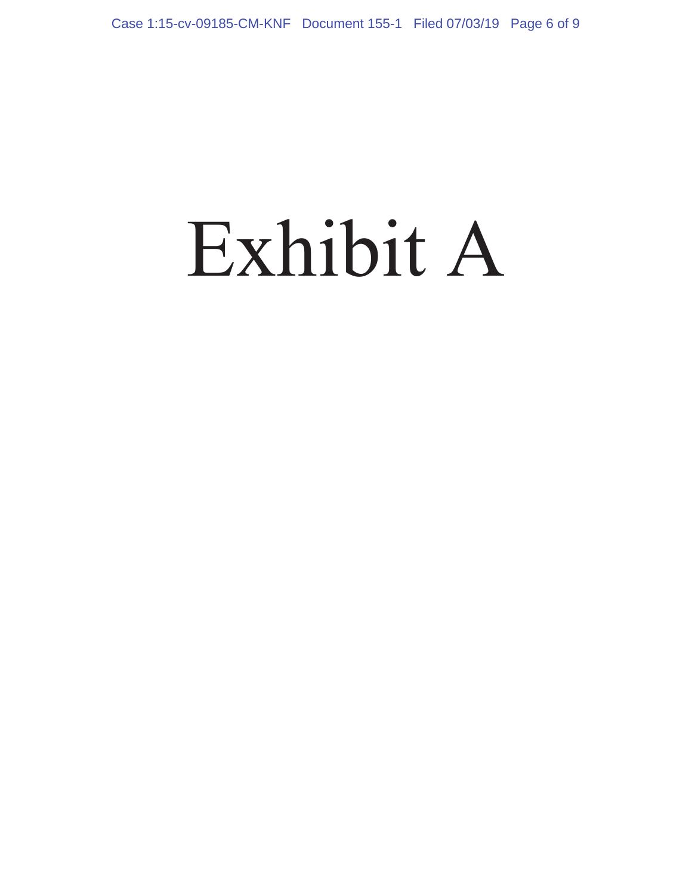# Exhibit A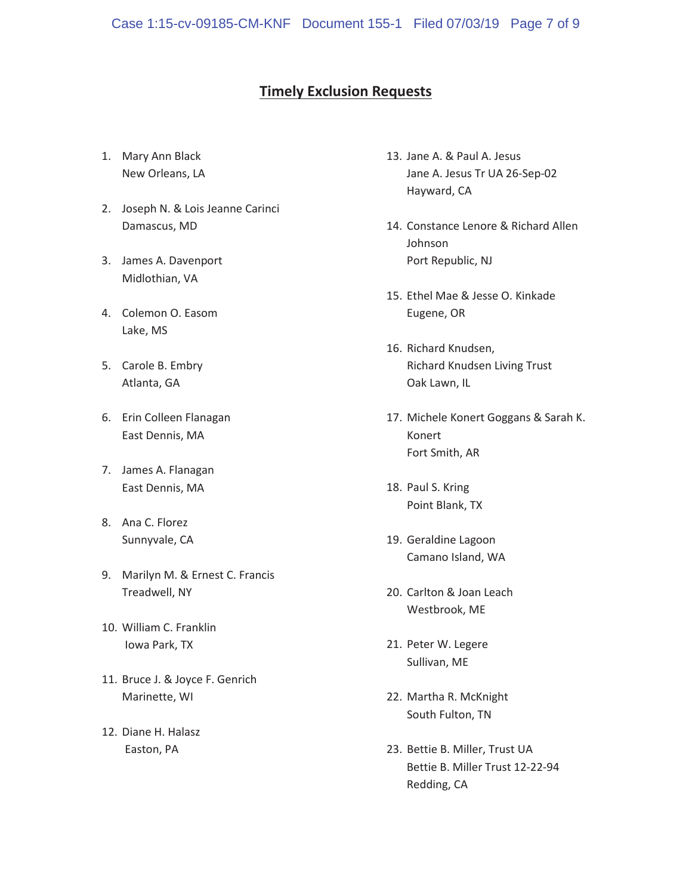#### **Timely Exclusion Requests**

- 1. Mary Ann Black New Orleans, LA
- 2. Joseph N. & Lois Jeanne Carinci Damascus, MD
- 3. James A. Davenport Midlothian, VA
- 4. Colemon O. Easom Lake, MS
- 5. Carole B. Embry Atlanta, GA
- 6. Erin Colleen Flanagan East Dennis, MA
- 7. James A. Flanagan East Dennis, MA
- 8. Ana C. Florez Sunnyvale, CA
- 9. Marilyn M. & Ernest C. Francis Treadwell, NY
- 10. William C. Franklin lowa Park, TX
- 11. Bruce J. & Joyce F. Genrich Marinette, WI
- 12. Diane H. Halasz Easton, PA
- 13. Jane A. & Paul A. Jesus Jane A. Jesus Tr UA 26-Sep-02 Hayward, CA
- 14. Constance Lenore & Richard Allen Johnson Port Republic, NJ
- 15. Ethel Mae & Jesse O. Kinkade Eugene, OR
- 16. Richard Knudsen, Richard Knudsen Living Trust Oak Lawn, IL
- 17. Michele Konert Goggans & Sarah K. Konert Fort Smith, AR
- 18. Paul S. Kring Point Blank, TX
- 19. Geraldine Lagoon Camano Island, WA
- 20. Carlton & Joan Leach Westbrook, ME
- 21. Peter W. Legere Sullivan, ME
- 22. Martha R. McKnight South Fulton, TN
- 23. Bettie B. Miller, Trust UA Bettie B. Miller Trust 12-22-94 Redding, CA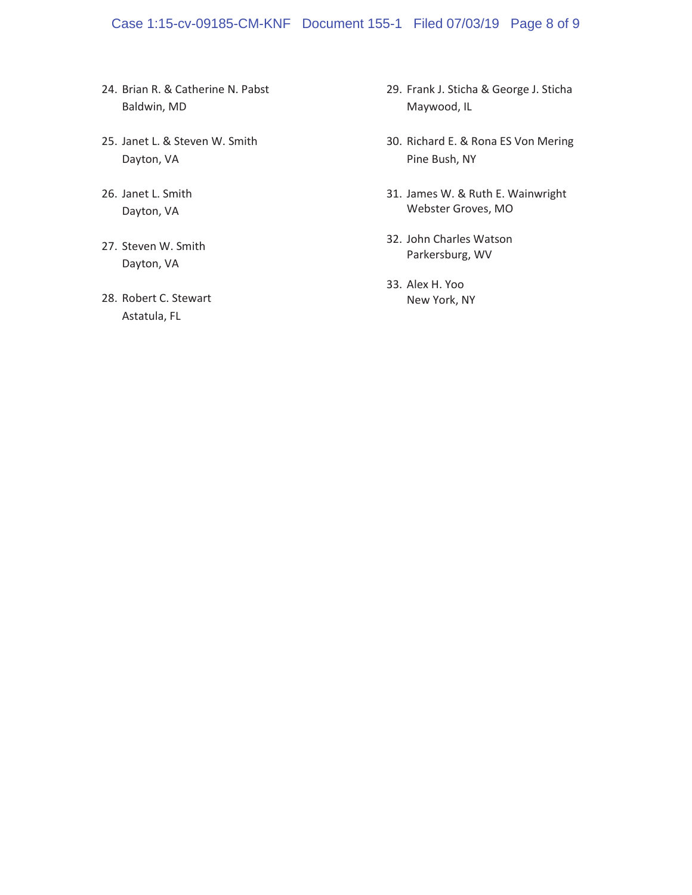#### Case 1:15-cv-09185-CM-KNF Document 155-1 Filed 07/03/19 Page 8 of 9

- 24. Brian R. & Catherine N. Pabst Baldwin, MD
- 25. Janet L. & Steven W. Smith Dayton, VA
- 26. Janet L. Smith Dayton, VA
- 27. Steven W. Smith Dayton, VA
- 28. Robert C. Stewart Astatula, FL
- 29. Frank J. Sticha & George J. Sticha Maywood, IL
- 30. Richard E. & Rona ES Von Mering Pine Bush, NY
- 31. James W. & Ruth E. Wainwright Webster Groves, MO
- 32. John Charles Watson Parkersburg, WV
- 33. Alex H. Yoo New York, NY